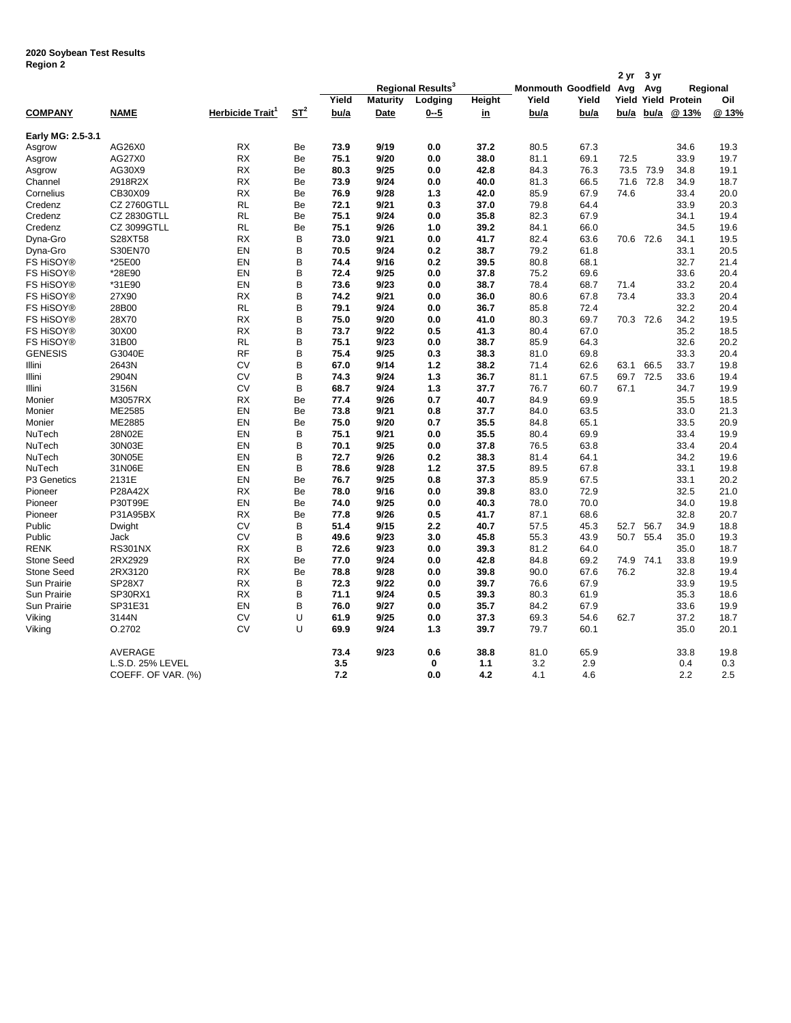## **2020 Soybean Test Results Region 2**

| negion ∠          |                    |                              |        |                               |                 |          |           |       |                        | 2 yr  | 3 yr      |                      |       |
|-------------------|--------------------|------------------------------|--------|-------------------------------|-----------------|----------|-----------|-------|------------------------|-------|-----------|----------------------|-------|
|                   |                    |                              |        | Regional Results <sup>3</sup> |                 |          |           |       | Monmouth Goodfield Avg |       | Avg       | Regional             |       |
|                   |                    |                              |        | Yield                         | <b>Maturity</b> | Lodging  | Height    | Yield | Yield                  | Yield |           | <b>Yield Protein</b> | Oil   |
| <b>COMPANY</b>    | <b>NAME</b>        | Herbicide Trait <sup>1</sup> | $ST^2$ | bu/a                          | <b>Date</b>     | $0 - 5$  | <u>in</u> | bu/a  | bu/a                   | bu/a  | bu/a      | @ 13%                | @ 13% |
| Early MG: 2.5-3.1 |                    |                              |        |                               |                 |          |           |       |                        |       |           |                      |       |
| Asgrow            | AG26X0             | <b>RX</b>                    | Be     | 73.9                          | 9/19            | 0.0      | 37.2      | 80.5  | 67.3                   |       |           | 34.6                 | 19.3  |
| Asgrow            | AG27X0             | <b>RX</b>                    | Be     | 75.1                          | 9/20            | 0.0      | 38.0      | 81.1  | 69.1                   | 72.5  |           | 33.9                 | 19.7  |
| Asgrow            | AG30X9             | <b>RX</b>                    | Be     | 80.3                          | 9/25            | 0.0      | 42.8      | 84.3  | 76.3                   | 73.5  | 73.9      | 34.8                 | 19.1  |
| Channel           | 2918R2X            | <b>RX</b>                    | Be     | 73.9                          | 9/24            | 0.0      | 40.0      | 81.3  | 66.5                   | 71.6  | 72.8      | 34.9                 | 18.7  |
| Cornelius         | CB30X09            | <b>RX</b>                    | Be     | 76.9                          | 9/28            | 1.3      | 42.0      | 85.9  | 67.9                   | 74.6  |           | 33.4                 | 20.0  |
| Credenz           | <b>CZ 2760GTLL</b> | <b>RL</b>                    | Be     | 72.1                          | 9/21            | 0.3      | 37.0      | 79.8  | 64.4                   |       |           | 33.9                 | 20.3  |
| Credenz           | CZ 2830GTLL        | <b>RL</b>                    | Be     | 75.1                          | 9/24            | 0.0      | 35.8      | 82.3  | 67.9                   |       |           | 34.1                 | 19.4  |
| Credenz           | CZ 3099GTLL        | <b>RL</b>                    | Be     | 75.1                          | 9/26            | 1.0      | 39.2      | 84.1  | 66.0                   |       |           | 34.5                 | 19.6  |
| Dyna-Gro          | S28XT58            | <b>RX</b>                    | В      | 73.0                          | 9/21            | 0.0      | 41.7      | 82.4  | 63.6                   |       | 70.6 72.6 | 34.1                 | 19.5  |
| Dyna-Gro          | S30EN70            | EN                           | В      | 70.5                          | 9/24            | 0.2      | 38.7      | 79.2  | 61.8                   |       |           | 33.1                 | 20.5  |
| FS HiSOY®         | *25E00             | EN                           | В      | 74.4                          | 9/16            | 0.2      | 39.5      | 80.8  | 68.1                   |       |           | 32.7                 | 21.4  |
| FS HiSOY®         | *28E90             | EN                           | В      | 72.4                          | 9/25            | 0.0      | 37.8      | 75.2  | 69.6                   |       |           | 33.6                 | 20.4  |
| FS HiSOY®         | *31E90             | EN                           | B      | 73.6                          | 9/23            | 0.0      | 38.7      | 78.4  | 68.7                   | 71.4  |           | 33.2                 | 20.4  |
| FS HiSOY®         | 27X90              | <b>RX</b>                    | В      | 74.2                          | 9/21            | 0.0      | 36.0      | 80.6  | 67.8                   | 73.4  |           | 33.3                 | 20.4  |
| FS HiSOY®         | 28B00              | <b>RL</b>                    | B      | 79.1                          | 9/24            | 0.0      | 36.7      | 85.8  | 72.4                   |       |           | 32.2                 | 20.4  |
| FS HiSOY®         | 28X70              | <b>RX</b>                    | В      | 75.0                          | 9/20            | 0.0      | 41.0      | 80.3  | 69.7                   |       | 70.3 72.6 | 34.2                 | 19.5  |
| FS HiSOY®         | 30X00              | <b>RX</b>                    | В      | 73.7                          | 9/22            | 0.5      | 41.3      | 80.4  | 67.0                   |       |           | 35.2                 | 18.5  |
| FS HiSOY®         | 31B00              | <b>RL</b>                    | В      | 75.1                          | 9/23            | 0.0      | 38.7      | 85.9  | 64.3                   |       |           | 32.6                 | 20.2  |
| <b>GENESIS</b>    | G3040E             | RF                           | В      | 75.4                          | 9/25            | 0.3      | 38.3      | 81.0  | 69.8                   |       |           | 33.3                 | 20.4  |
| Illini            | 2643N              | <b>CV</b>                    | В      | 67.0                          | 9/14            | 1.2      | 38.2      | 71.4  | 62.6                   | 63.1  | 66.5      | 33.7                 | 19.8  |
| Illini            | 2904N              | CV                           | В      | 74.3                          | 9/24            | 1.3      | 36.7      | 81.1  | 67.5                   | 69.7  | 72.5      | 33.6                 | 19.4  |
| Illini            | 3156N              | <b>CV</b>                    | В      | 68.7                          | 9/24            | 1.3      | 37.7      | 76.7  | 60.7                   | 67.1  |           | 34.7                 | 19.9  |
| Monier            | M3057RX            | <b>RX</b>                    | Be     | 77.4                          | 9/26            | 0.7      | 40.7      | 84.9  | 69.9                   |       |           | 35.5                 | 18.5  |
| Monier            | ME2585             | EN                           | Be     | 73.8                          | 9/21            | 0.8      | 37.7      | 84.0  | 63.5                   |       |           | 33.0                 | 21.3  |
| Monier            | ME2885             | EN                           | Be     | 75.0                          | 9/20            | 0.7      | 35.5      | 84.8  | 65.1                   |       |           | 33.5                 | 20.9  |
| NuTech            | 28N02E             | EN                           | В      | 75.1                          | 9/21            | 0.0      | 35.5      | 80.4  | 69.9                   |       |           | 33.4                 | 19.9  |
| NuTech            | 30N03E             | EN                           | В      | 70.1                          | 9/25            | 0.0      | 37.8      | 76.5  | 63.8                   |       |           | 33.4                 | 20.4  |
| NuTech            | 30N05E             | EN                           | B      | 72.7                          | 9/26            | 0.2      | 38.3      | 81.4  | 64.1                   |       |           | 34.2                 | 19.6  |
| NuTech            | 31N06E             | EN                           | В      | 78.6                          | 9/28            | 1.2      | 37.5      | 89.5  | 67.8                   |       |           | 33.1                 | 19.8  |
| P3 Genetics       | 2131E              | EN                           | Be     | 76.7                          | 9/25            | 0.8      | 37.3      | 85.9  | 67.5                   |       |           | 33.1                 | 20.2  |
| Pioneer           | P28A42X            | <b>RX</b>                    | Be     | 78.0                          | 9/16            | 0.0      | 39.8      | 83.0  | 72.9                   |       |           | 32.5                 | 21.0  |
| Pioneer           | P30T99E            | EN                           | Be     | 74.0                          | 9/25            | 0.0      | 40.3      | 78.0  | 70.0                   |       |           | 34.0                 | 19.8  |
| Pioneer           | P31A95BX           | <b>RX</b>                    | Be     | 77.8                          | 9/26            | 0.5      | 41.7      | 87.1  | 68.6                   |       |           | 32.8                 | 20.7  |
| Public            | Dwight             | <b>CV</b>                    | В      | 51.4                          | 9/15            | 2.2      | 40.7      | 57.5  | 45.3                   | 52.7  | 56.7      | 34.9                 | 18.8  |
| Public            | Jack               | <b>CV</b>                    | В      | 49.6                          | 9/23            | 3.0      | 45.8      | 55.3  | 43.9                   | 50.7  | 55.4      | 35.0                 | 19.3  |
| RENK              | <b>RS301NX</b>     | <b>RX</b>                    | В      | 72.6                          | 9/23            | 0.0      | 39.3      | 81.2  | 64.0                   |       |           | 35.0                 | 18.7  |
| <b>Stone Seed</b> | 2RX2929            | <b>RX</b>                    | Be     | 77.0                          | 9/24            | 0.0      | 42.8      | 84.8  | 69.2                   | 74.9  | 74.1      | 33.8                 | 19.9  |
| <b>Stone Seed</b> | 2RX3120            | <b>RX</b>                    | Be     | 78.8                          | 9/28            | 0.0      | 39.8      | 90.0  | 67.6                   | 76.2  |           | 32.8                 | 19.4  |
| Sun Prairie       | <b>SP28X7</b>      | <b>RX</b>                    | в      | 72.3                          | 9/22            | 0.0      | 39.7      | 76.6  | 67.9                   |       |           | 33.9                 | 19.5  |
| Sun Prairie       | SP30RX1            | <b>RX</b>                    | В      | 71.1                          | 9/24            | 0.5      | 39.3      | 80.3  | 61.9                   |       |           | 35.3                 | 18.6  |
| Sun Prairie       | SP31E31            | EN                           | В      | 76.0                          | 9/27            | 0.0      | 35.7      | 84.2  | 67.9                   |       |           | 33.6                 | 19.9  |
| Viking            | 3144N              | CV                           | U      | 61.9                          | 9/25            | 0.0      | 37.3      | 69.3  | 54.6                   | 62.7  |           | 37.2                 | 18.7  |
|                   | O.2702             | CV                           | U      | 69.9                          | 9/24            | 1.3      | 39.7      | 79.7  | 60.1                   |       |           | 35.0                 | 20.1  |
| Viking            |                    |                              |        |                               |                 |          |           |       |                        |       |           |                      |       |
|                   | <b>AVERAGE</b>     |                              |        | 73.4                          | 9/23            | 0.6      | 38.8      | 81.0  | 65.9                   |       |           | 33.8                 | 19.8  |
|                   | L.S.D. 25% LEVEL   |                              |        | 3.5                           |                 | $\bf{0}$ | 1.1       | 3.2   | 2.9                    |       |           | 0.4                  | 0.3   |
|                   | COEFF. OF VAR. (%) |                              |        | 7.2                           |                 | 0.0      | 4.2       | 4.1   | 4.6                    |       |           | 2.2                  | 2.5   |